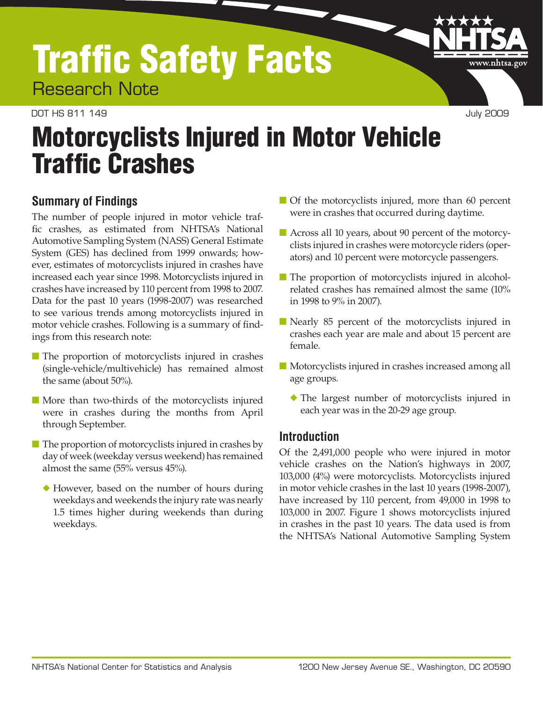# Traffic Safety Facts Research Note

#### DOT HS 811 149 July 2009

www.nhtsa.go

# Motorcyclists Injured in Motor Vehicle **Traffic Crashes**

## **Summary of Findings**

The number of people injured in motor vehicle traffic crashes, as estimated from NHTSA's National Automotive Sampling System (NASS) General Estimate System (GES) has declined from 1999 onwards; however, estimates of motorcyclists injured in crashes have increased each year since 1998. Motorcyclists injured in crashes have increased by 110 percent from 1998 to 2007. Data for the past 10 years (1998-2007) was researched to see various trends among motorcyclists injured in motor vehicle crashes. Following is a summary of findings from this research note:

- The proportion of motorcyclists injured in crashes (single-vehicle/multivehicle) has remained almost the same (about 50%).
- More than two-thirds of the motorcyclists injured were in crashes during the months from April through September.
- The proportion of motorcyclists injured in crashes by day of week (weekday versus weekend) has remained almost the same (55% versus 45%).
	- ◆ However, based on the number of hours during weekdays and weekends the injury rate was nearly 1.5 times higher during weekends than during weekdays.
- Of the motorcyclists injured, more than 60 percent were in crashes that occurred during daytime.
- Across all 10 years, about 90 percent of the motorcyclists injured in crashes were motorcycle riders (operators) and 10 percent were motorcycle passengers.
- The proportion of motorcyclists injured in alcoholrelated crashes has remained almost the same (10% in 1998 to 9% in 2007).
- Nearly 85 percent of the motorcyclists injured in crashes each year are male and about 15 percent are female.
- Motorcyclists injured in crashes increased among all age groups.
	- ◆ The largest number of motorcyclists injured in each year was in the 20-29 age group.

## **Introduction**

Of the 2,491,000 people who were injured in motor vehicle crashes on the Nation's highways in 2007, 103,000 (4%) were motorcyclists. Motorcyclists injured in motor vehicle crashes in the last 10 years (1998-2007), have increased by 110 percent, from 49,000 in 1998 to 103,000 in 2007. Figure 1 shows motorcyclists injured in crashes in the past 10 years. The data used is from the NHTSA's National Automotive Sampling System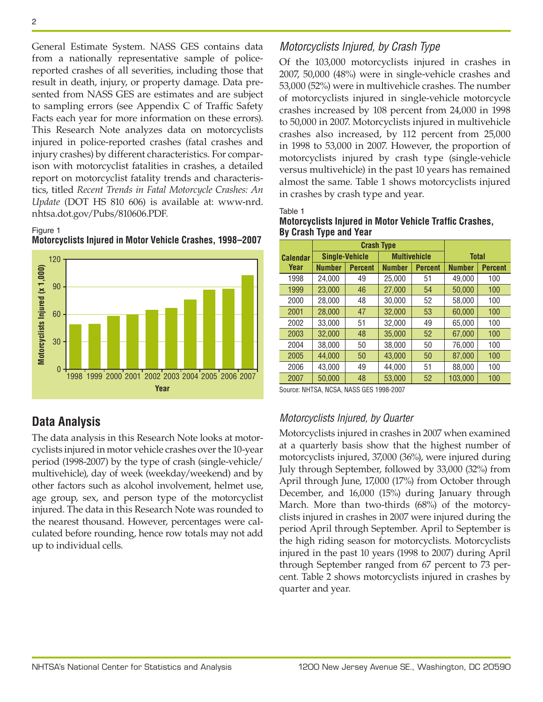General Estimate System. NASS GES contains data from a nationally representative sample of policereported crashes of all severities, including those that result in death, injury, or property damage. Data presented from NASS GES are estimates and are subject to sampling errors (see Appendix C of Traffic Safety Facts each year for more information on these errors). This Research Note analyzes data on motorcyclists injured in police-reported crashes (fatal crashes and injury crashes) by different characteristics. For comparison with motorcyclist fatalities in crashes, a detailed report on motorcyclist fatality trends and characteristics, titled *Recent Trends in Fatal Motorcycle Crashes: An Update* (DOT HS 810 606) is available at: [www-nrd.](www-nrd.nhtsa.dot.gov/Pubs/810606.PDF) [nhtsa.dot.gov/Pubs/810606.PDF](www-nrd.nhtsa.dot.gov/Pubs/810606.PDF).

#### Figure 1





## **Data Analysis**

The data analysis in this Research Note looks at motorcyclists injured in motor vehicle crashes over the 10-year period (1998-2007) by the type of crash (single-vehicle/ multivehicle), day of week (weekday/weekend) and by other factors such as alcohol involvement, helmet use, age group, sex, and person type of the motorcyclist injured. The data in this Research Note was rounded to the nearest thousand. However, percentages were calculated before rounding, hence row totals may not add up to individual cells.

## *Motorcyclists Injured, by Crash Type*

Of the 103,000 motorcyclists injured in crashes in 2007, 50,000 (48%) were in single-vehicle crashes and 53,000 (52%) were in multivehicle crashes. The number of motorcyclists injured in single-vehicle motorcycle crashes increased by 108 percent from 24,000 in 1998 to 50,000 in 2007. Motorcyclists injured in multivehicle crashes also increased, by 112 percent from 25,000 in 1998 to 53,000 in 2007. However, the proportion of motorcyclists injured by crash type (single-vehicle versus multivehicle) in the past 10 years has remained almost the same. Table 1 shows motorcyclists injured in crashes by crash type and year.

Table 1

| <b>Motorcyclists Injured in Motor Vehicle Traffic Crashes,</b><br>By Crash Type and Year |  |
|------------------------------------------------------------------------------------------|--|
|                                                                                          |  |

|                 |               | <b>Crash Type</b>     |                     |                |               |                |  |  |
|-----------------|---------------|-----------------------|---------------------|----------------|---------------|----------------|--|--|
| <b>Calendar</b> |               | <b>Single-Vehicle</b> | <b>Multivehicle</b> |                | <b>Total</b>  |                |  |  |
| Year            | <b>Number</b> | <b>Percent</b>        | <b>Number</b>       | <b>Percent</b> | <b>Number</b> | <b>Percent</b> |  |  |
| 1998            | 24.000        | 49                    | 25.000              | 51             | 49.000        | 100            |  |  |
| 1999            | 23,000        | 46                    | 27,000              | 54             | 50.000        | 100            |  |  |
| 2000            | 28.000        | 48                    | 30.000              | 52             | 58.000        | 100            |  |  |
| 2001            | 28,000        | 47                    | 32,000              | 53             | 60.000        | 100            |  |  |
| 2002            | 33,000        | 51                    | 32,000              | 49             | 65.000        | 100            |  |  |
| 2003            | 32,000        | 48                    | 35.000              | 52             | 67.000        | 100            |  |  |
| 2004            | 38.000        | 50                    | 38.000              | 50             | 76,000        | 100            |  |  |
| 2005            | 44.000        | 50                    | 43.000              | 50             | 87,000        | 100            |  |  |
| 2006            | 43.000        | 49                    | 44,000              | 51             | 88,000        | 100            |  |  |
| 2007            | 50,000        | 48                    | 53.000              | 52             | 103.000       | 100            |  |  |

Source: NHTSA, NCSA, NASS GES 1998-2007

## *Motorcyclists Injured, by Quarter*

Motorcyclists injured in crashes in 2007 when examined at a quarterly basis show that the highest number of motorcyclists injured, 37,000 (36%), were injured during July through September, followed by 33,000 (32%) from April through June, 17,000 (17%) from October through December, and 16,000 (15%) during January through March. More than two-thirds (68%) of the motorcyclists injured in crashes in 2007 were injured during the period April through September. April to September is the high riding season for motorcyclists. Motorcyclists injured in the past 10 years (1998 to 2007) during April through September ranged from 67 percent to 73 percent. Table 2 shows motorcyclists injured in crashes by quarter and year.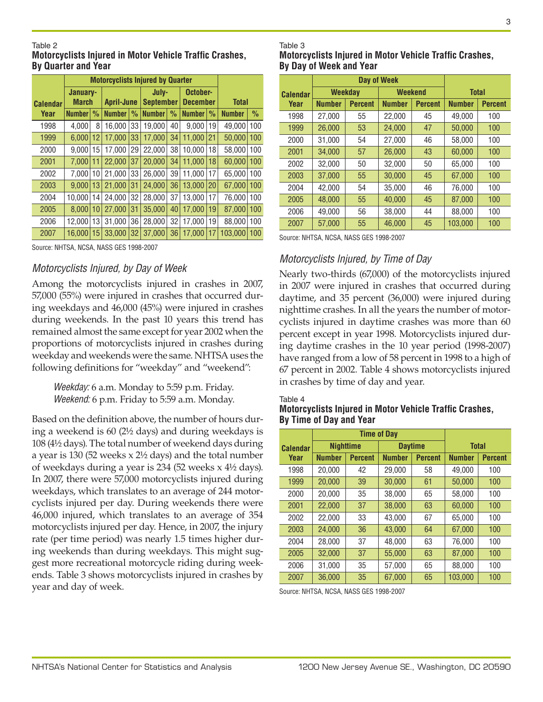#### Table 2

#### **Motorcyclists Injured in Motor Vehicle Traffic Crashes, By Quarter and Year**

|                 | <b>Motorcyclists Injured by Quarter</b> |               |                   |               |                  |                   |                 |               |               |               |
|-----------------|-----------------------------------------|---------------|-------------------|---------------|------------------|-------------------|-----------------|---------------|---------------|---------------|
|                 | January-                                |               |                   |               |                  | October-<br>July- |                 |               |               |               |
| <b>Calendar</b> | <b>March</b>                            |               | <b>April-June</b> |               | <b>September</b> |                   | <b>December</b> |               | <b>Total</b>  |               |
| Year            | <b>Number</b>                           | $\frac{0}{0}$ | <b>Number</b>     | $\frac{0}{0}$ | <b>Number</b>    | $\frac{0}{0}$     | <b>Number</b>   | $\frac{0}{0}$ | <b>Number</b> | $\frac{0}{0}$ |
| 1998            | 4.000                                   | 8             | 16.000            | 33            | 19.000           | 40                | 9.000           | 19            | 49.000        | 100           |
| 1999            | 6.000                                   | 12            | 17.000            | 33            | 17.000           | 34                | 11.000          | 21            | 50,000        | 100           |
| 2000            | 9.000                                   | 15            | 17.000            | 29            | 22,000           | 38                | 10.000          | 18            | 58.000        | 100           |
| 2001            | 7.000                                   | 11            | 22.000            | 37            | 20,000           | 34                | 11.000          | 18            | 60.000        | 100           |
| 2002            | 7.000                                   | 10            | 21,000            | 33            | 26,000           | 39                | 11,000          | 17            | 65.000        | 100           |
| 2003            | 9.000                                   | 13            | 21.000            | 31            | 24.000           | 36                | 13.000          | 20            | 67.000        | 100           |
| 2004            | 10.000                                  | 14            | 24.000            | 32            | 28,000           | 37                | 13,000          | 17            | 76,000        | 100           |
| 2005            | 8.000                                   | 10            | 27.000            | 31            | 35.000           | 40                | 17.000          | 19            | 87.000        | 100           |
| 2006            | 12.000                                  | 13            | 31.000            | 36            | 28.000           | 32                | 17.000          | 19            | 88.000        | 100           |
| 2007            | 16.000                                  | 15            | 33.000            | 32            | 37.000           | 36                | 17.000          | 17            | 103.000       | 100           |

Source: NHTSA, NCSA, NASS GES 1998-2007

## *Motorcyclists Injured, by Day of Week*

Among the motorcyclists injured in crashes in 2007, 57,000 (55%) were injured in crashes that occurred during weekdays and 46,000 (45%) were injured in crashes during weekends. In the past 10 years this trend has remained almost the same except for year 2002 when the proportions of motorcyclists injured in crashes during weekday and weekends were the same. NHTSA uses the following definitions for "weekday" and "weekend":

*Weekday:* 6 a.m. Monday to 5:59 p.m. Friday. *Weekend:* 6 p.m. Friday to 5:59 a.m. Monday.

Based on the definition above, the number of hours during a weekend is 60 (2½ days) and during weekdays is 108 (4½ days). The total number of weekend days during a year is 130 (52 weeks x 2½ days) and the total number of weekdays during a year is 234 (52 weeks x 4½ days). In 2007, there were 57,000 motorcyclists injured during weekdays, which translates to an average of 244 motorcyclists injured per day. During weekends there were 46,000 injured, which translates to an average of 354 motorcyclists injured per day. Hence, in 2007, the injury rate (per time period) was nearly 1.5 times higher during weekends than during weekdays. This might suggest more recreational motorcycle riding during weekends. Table 3 shows motorcyclists injured in crashes by year and day of week.

## Table 3

**Motorcyclists Injured in Motor Vehicle Traffic Crashes, By Day of Week and Year**

|                 |               | Day of Week    |                |                |               |                |  |  |
|-----------------|---------------|----------------|----------------|----------------|---------------|----------------|--|--|
| <b>Calendar</b> |               | <b>Weekday</b> | <b>Weekend</b> |                | <b>Total</b>  |                |  |  |
| Year            | <b>Number</b> | <b>Percent</b> | <b>Number</b>  | <b>Percent</b> | <b>Number</b> | <b>Percent</b> |  |  |
| 1998            | 27.000        | 55             | 22.000         | 45             | 49.000        | 100            |  |  |
| 1999            | 26.000        | 53             | 24.000         | 47             | 50.000        | 100            |  |  |
| 2000            | 31.000        | 54             | 27.000         | 46             | 58.000        | 100            |  |  |
| 2001            | 34.000        | 57             | 26,000         | 43             | 60,000        | 100            |  |  |
| 2002            | 32.000        | 50             | 32.000         | 50             | 65.000        | 100            |  |  |
| 2003            | 37.000        | 55             | 30.000         | 45             | 67,000        | 100            |  |  |
| 2004            | 42.000        | 54             | 35.000         | 46             | 76,000        | 100            |  |  |
| 2005            | 48.000        | 55             | 40.000         | 45             | 87.000        | 100            |  |  |
| 2006            | 49.000        | 56             | 38.000         | 44             | 88.000        | 100            |  |  |
| 2007            | 57,000        | 55             | 46,000         | 45             | 103.000       | 100            |  |  |

Source: NHTSA, NCSA, NASS GES 1998-2007

## *Motorcyclists Injured, by Time of Day*

Nearly two-thirds (67,000) of the motorcyclists injured in 2007 were injured in crashes that occurred during daytime, and 35 percent (36,000) were injured during nighttime crashes. In all the years the number of motorcyclists injured in daytime crashes was more than 60 percent except in year 1998. Motorcyclists injured during daytime crashes in the 10 year period (1998-2007) have ranged from a low of 58 percent in 1998 to a high of 67 percent in 2002. Table 4 shows motorcyclists injured in crashes by time of day and year.

#### Table 4

#### **Motorcyclists Injured in Motor Vehicle Traffic Crashes, By Time of Day and Year**

|                 |               | <b>Time of Day</b> |               |                |               |                |  |
|-----------------|---------------|--------------------|---------------|----------------|---------------|----------------|--|
| <b>Calendar</b> |               | <b>Nighttime</b>   |               | <b>Daytime</b> | <b>Total</b>  |                |  |
| Year            | <b>Number</b> | <b>Percent</b>     | <b>Number</b> | <b>Percent</b> | <b>Number</b> | <b>Percent</b> |  |
| 1998            | 20.000        | 42                 | 29.000        | 58             | 49.000        | 100            |  |
| 1999            | 20.000        | 39                 | 30.000        | 61             | 50.000        | 100            |  |
| 2000            | 20.000        | 35                 | 38.000        | 65             | 58.000        | 100            |  |
| 2001            | 22,000        | 37                 | 38,000        | 63             | 60.000        | 100            |  |
| 2002            | 22,000        | 33                 | 43,000        | 67             | 65,000        | 100            |  |
| 2003            | 24.000        | 36                 | 43.000        | 64             | 67.000        | 100            |  |
| 2004            | 28,000        | 37                 | 48.000        | 63             | 76,000        | 100            |  |
| 2005            | 32.000        | 37                 | 55.000        | 63             | 87.000        | 100            |  |
| 2006            | 31,000        | 35                 | 57.000        | 65             | 88.000        | 100            |  |
| 2007            | 36.000        | 35                 | 67.000        | 65             | 103,000       | 100            |  |

Source: NHTSA, NCSA, NASS GES 1998-2007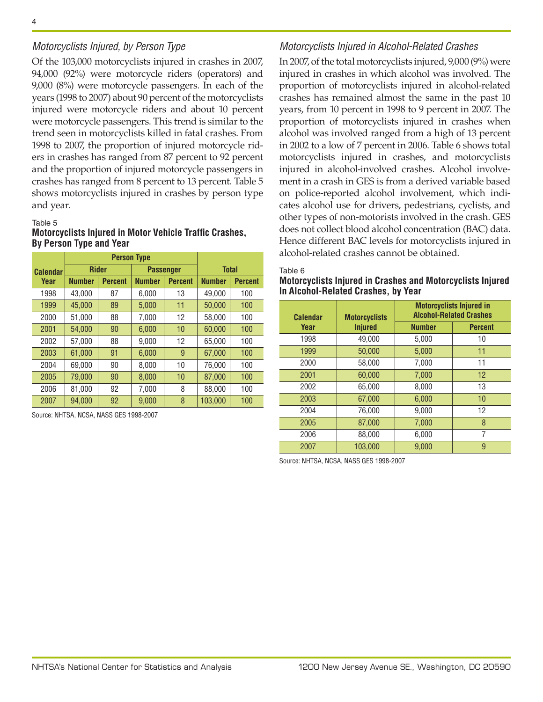### *Motorcyclists Injured, by Person Type*

Of the 103,000 motorcyclists injured in crashes in 2007, 94,000 (92%) were motorcycle riders (operators) and 9,000 (8%) were motorcycle passengers. In each of the years (1998 to 2007) about 90 percent of the motorcyclists injured were motorcycle riders and about 10 percent were motorcycle passengers. This trend is similar to the trend seen in motorcyclists killed in fatal crashes. From 1998 to 2007, the proportion of injured motorcycle riders in crashes has ranged from 87 percent to 92 percent and the proportion of injured motorcycle passengers in crashes has ranged from 8 percent to 13 percent. Table 5 shows motorcyclists injured in crashes by person type and year.

#### Table 5

#### **Motorcyclists Injured in Motor Vehicle Traffic Crashes, By Person Type and Year**

|                 |               |                | <b>Person Type</b> |                  |               |                |
|-----------------|---------------|----------------|--------------------|------------------|---------------|----------------|
| <b>Calendar</b> |               | <b>Rider</b>   |                    | <b>Passenger</b> | <b>Total</b>  |                |
| Year            | <b>Number</b> | <b>Percent</b> | <b>Number</b>      | <b>Percent</b>   | <b>Number</b> | <b>Percent</b> |
| 1998            | 43.000        | 87             | 6.000              | 13               | 49.000        | 100            |
| 1999            | 45,000        | 89             | 5,000              | 11               | 50.000        | 100            |
| 2000            | 51,000        | 88             | 7,000              | 12               | 58,000        | 100            |
| 2001            | 54.000        | 90             | 6.000              | 10               | 60.000        | 100            |
| 2002            | 57.000        | 88             | 9.000              | 12               | 65.000        | 100            |
| 2003            | 61,000        | 91             | 6,000              | 9                | 67,000        | 100            |
| 2004            | 69.000        | 90             | 8.000              | 10               | 76.000        | 100            |
| 2005            | 79.000        | 90             | 8.000              | 10               | 87.000        | 100            |
| 2006            | 81.000        | 92             | 7,000              | 8                | 88.000        | 100            |
| 2007            | 94,000        | 92             | 9,000              | 8                | 103,000       | 100            |

Source: NHTSA, NCSA, NASS GES 1998-2007

#### *Motorcyclists Injured in Alcohol-Related Crashes*

In 2007, of the total motorcyclists injured, 9,000 (9%) were injured in crashes in which alcohol was involved. The proportion of motorcyclists injured in alcohol-related crashes has remained almost the same in the past 10 years, from 10 percent in 1998 to 9 percent in 2007. The proportion of motorcyclists injured in crashes when alcohol was involved ranged from a high of 13 percent in 2002 to a low of 7 percent in 2006. Table 6 shows total motorcyclists injured in crashes, and motorcyclists injured in alcohol-involved crashes. Alcohol involvement in a crash in GES is from a derived variable based on police-reported alcohol involvement, which indicates alcohol use for drivers, pedestrians, cyclists, and other types of non-motorists involved in the crash. GES does not collect blood alcohol concentration (BAC) data. Hence different BAC levels for motorcyclists injured in alcohol-related crashes cannot be obtained.

Table 6

#### **Motorcyclists Injured in Crashes and Motorcyclists Injured In Alcohol-Related Crashes, by Year**

| <b>Calendar</b> | <b>Motorcyclists</b> |               | <b>Motorcyclists Injured in</b><br><b>Alcohol-Related Crashes</b> |
|-----------------|----------------------|---------------|-------------------------------------------------------------------|
| Year            | <b>Injured</b>       | <b>Number</b> | <b>Percent</b>                                                    |
| 1998            | 49,000               | 5,000         | 10                                                                |
| 1999            | 50,000               | 5,000         | 11                                                                |
| 2000            | 58,000               | 7,000         | 11                                                                |
| 2001            | 60,000               | 7,000         | 12                                                                |
| 2002            | 65,000               | 8,000         | 13                                                                |
| 2003            | 67,000               | 6,000         | 10                                                                |
| 2004            | 76,000               | 9,000         | 12                                                                |
| 2005            | 87,000               | 7,000         | 8                                                                 |
| 2006            | 88,000               | 6,000         | 7                                                                 |
| 2007            | 103.000              | 9.000         | 9                                                                 |

Source: NHTSA, NCSA, NASS GES 1998-2007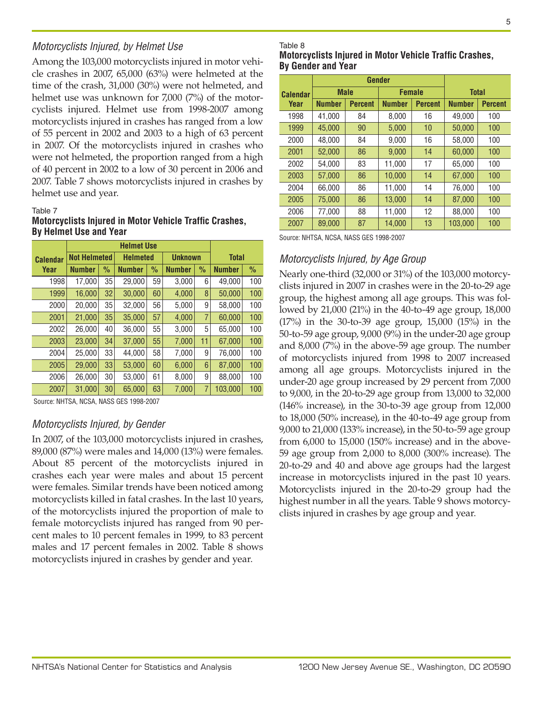## *Motorcyclists Injured, by Helmet Use*

Among the 103,000 motorcyclists injured in motor vehicle crashes in 2007, 65,000 (63%) were helmeted at the time of the crash, 31,000 (30%) were not helmeted, and helmet use was unknown for 7,000 (7%) of the motorcyclists injured. Helmet use from 1998-2007 among motorcyclists injured in crashes has ranged from a low of 55 percent in 2002 and 2003 to a high of 63 percent in 2007. Of the motorcyclists injured in crashes who were not helmeted, the proportion ranged from a high of 40 percent in 2002 to a low of 30 percent in 2006 and 2007. Table 7 shows motorcyclists injured in crashes by helmet use and year.

#### Table 7

**Motorcyclists Injured in Motor Vehicle Traffic Crashes, By Helmet Use and Year**

| <b>Calendar</b> |               |               |                     |               |                                      |                | <b>Total</b>   |               |  |  |  |
|-----------------|---------------|---------------|---------------------|---------------|--------------------------------------|----------------|----------------|---------------|--|--|--|
| Year            | <b>Number</b> | $\frac{0}{0}$ | <b>Number</b>       | $\frac{0}{0}$ | <b>Number</b>                        | $\frac{0}{0}$  | <b>Number</b>  | $\frac{0}{0}$ |  |  |  |
| 1998            | 17,000        | 35            | 29.000              | 59            | 3,000                                | 6              | 49,000         | 100           |  |  |  |
| 1999            | 16,000        | 32            | 30,000              | 60            | 4,000                                | 8              | 50,000         | 100           |  |  |  |
| 2000            | 20,000        | 35            | 32,000              | 56            | 5,000                                | 9              | 58,000         | 100           |  |  |  |
| 2001            | 21,000        | 35            | 35,000              | 57            | 4,000                                | $\overline{7}$ | 60,000         | 100           |  |  |  |
| 2002            | 26,000        | 40            | 36,000              | 55            | 3,000                                | 5              | 65,000         | 100           |  |  |  |
| 2003            | 23.000        | 34            | 37,000              | 55            | 7,000                                | 11             | 67.000         | 100           |  |  |  |
| 2004            | 25.000        | 33            | 44.000              | 58            | 7,000                                | 9              | 76,000         | 100           |  |  |  |
| 2005            | 29,000        | 33            | 53.000              | 60            | 6,000                                | 6              | 87,000         | 100           |  |  |  |
| 2006            | 26,000        | 30            | 53,000              | 61            | 8,000                                | 9              | 88,000         | 100           |  |  |  |
| 2007            | 31,000        | 30            | 65,000              | 63            | 7,000                                | 7              | 103.000        | 100           |  |  |  |
|                 |               |               | <b>Not Helmeted</b> |               | <b>Helmet Use</b><br><b>Helmeted</b> |                | <b>Unknown</b> |               |  |  |  |

Source: NHTSA, NCSA, NASS GES 1998-2007

## *Motorcyclists Injured, by Gender*

In 2007, of the 103,000 motorcyclists injured in crashes, 89,000 (87%) were males and 14,000 (13%) were females. About 85 percent of the motorcyclists injured in crashes each year were males and about 15 percent were females. Similar trends have been noticed among motorcyclists killed in fatal crashes. In the last 10 years, of the motorcyclists injured the proportion of male to female motorcyclists injured has ranged from 90 percent males to 10 percent females in 1999, to 83 percent males and 17 percent females in 2002. Table 8 shows motorcyclists injured in crashes by gender and year.

#### Table 8

**Motorcyclists Injured in Motor Vehicle Traffic Crashes, By Gender and Year**

|                 |               | Gender         |               |                |               |                |  |
|-----------------|---------------|----------------|---------------|----------------|---------------|----------------|--|
| <b>Calendar</b> | <b>Male</b>   |                | <b>Female</b> |                | <b>Total</b>  |                |  |
| Year            | <b>Number</b> | <b>Percent</b> | <b>Number</b> | <b>Percent</b> | <b>Number</b> | <b>Percent</b> |  |
| 1998            | 41,000        | 84             | 8,000         | 16             | 49,000        | 100            |  |
| 1999            | 45,000        | 90             | 5.000         | 10             | 50.000        | 100            |  |
| 2000            | 48.000        | 84             | 9,000         | 16             | 58.000        | 100            |  |
| 2001            | 52.000        | 86             | 9.000         | 14             | 60.000        | 100            |  |
| 2002            | 54,000        | 83             | 11,000        | 17             | 65,000        | 100            |  |
| 2003            | 57,000        | 86             | 10.000        | 14             | 67.000        | 100            |  |
| 2004            | 66.000        | 86             | 11.000        | 14             | 76.000        | 100            |  |
| 2005            | 75.000        | 86             | 13.000        | 14             | 87.000        | 100            |  |
| 2006            | 77.000        | 88             | 11,000        | 12             | 88.000        | 100            |  |
| 2007            | 89,000        | 87             | 14,000        | 13             | 103,000       | 100            |  |

Source: NHTSA, NCSA, NASS GES 1998-2007

## *Motorcyclists Injured, by Age Group*

Nearly one-third (32,000 or 31%) of the 103,000 motorcyclists injured in 2007 in crashes were in the 20-to-29 age group, the highest among all age groups. This was followed by 21,000 (21%) in the 40-to-49 age group, 18,000 (17%) in the 30-to-39 age group, 15,000 (15%) in the 50-to-59 age group, 9,000 (9%) in the under-20 age group and 8,000 (7%) in the above-59 age group. The number of motorcyclists injured from 1998 to 2007 increased among all age groups. Motorcyclists injured in the under-20 age group increased by 29 percent from 7,000 to 9,000, in the 20-to-29 age group from 13,000 to 32,000 (146% increase), in the 30-to-39 age group from 12,000 to 18,000 (50% increase), in the 40-to-49 age group from 9,000 to 21,000 (133% increase), in the 50-to-59 age group from 6,000 to 15,000 (150% increase) and in the above-59 age group from 2,000 to 8,000 (300% increase). The 20-to-29 and 40 and above age groups had the largest increase in motorcyclists injured in the past 10 years. Motorcyclists injured in the 20-to-29 group had the highest number in all the years. Table 9 shows motorcyclists injured in crashes by age group and year.